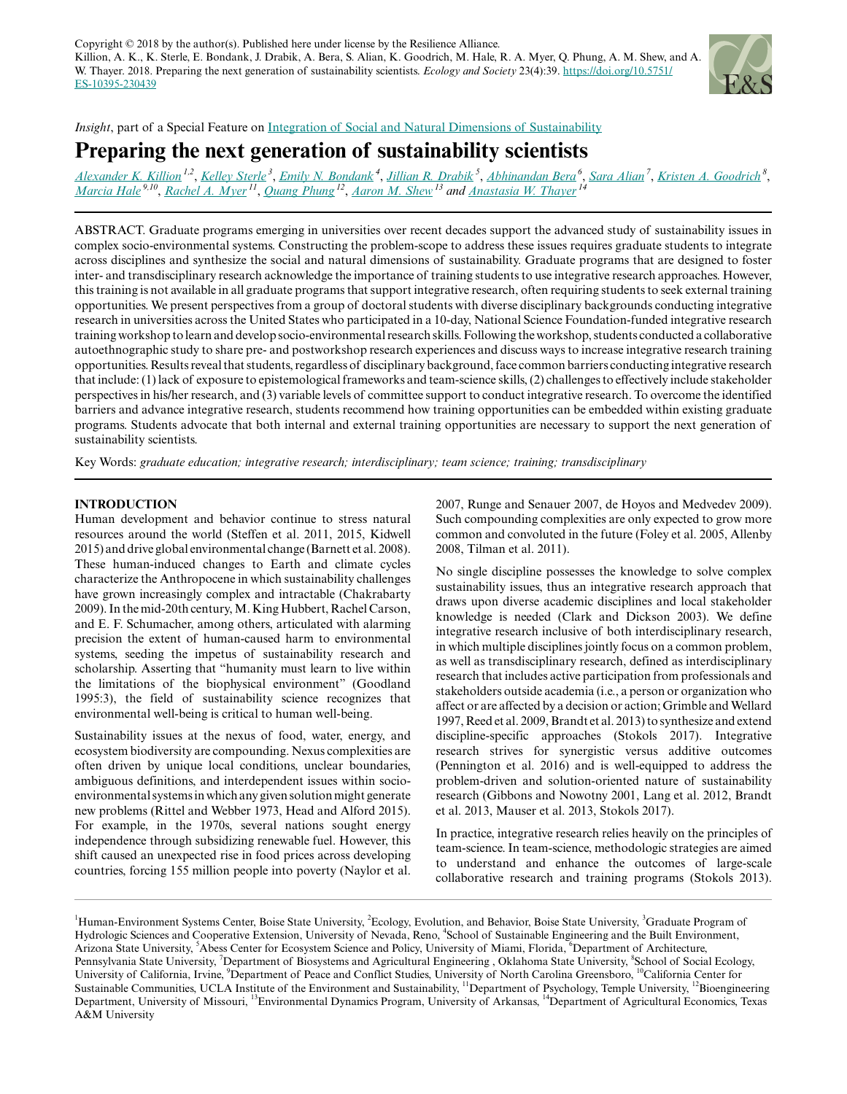

*Insight*, part of a Special Feature on [Integration of Social and Natural Dimensions of Sustainability](https://www.ecologyandsociety.org/viewissue.php?sf=135)

# **Preparing the next generation of sustainability scientists**

<u>[Alexander K. Killion](mailto:alexanderkillion@u.boisestate.edu) <sup>1,2</sup>, [Kelley Sterle](mailto:sterlek@unce.unr.edu) <sup>3</sup>, [Emily N. Bondank](mailto:ebondank@asu.edu) <sup>4</sup>, [Jillian R. Drabik](mailto:jdrabik2@miami.edu) <sup>5</sup>, [Abhinandan Bera](mailto:abhinandan.bera@gmail.com) <sup>6</sup>, [Sara Alian](mailto:sara.alian@okstate.edu) <sup>7</sup>, [Kristen A. Goodrich](mailto:k.goodrich@uci.edu) <sup>8</sup>,</u> *[Marcia Hale](mailto:marcierose@gmail.com) 9,10* , *[Rachel A. Myer](mailto:rachel.myer@temple.edu)<sup>11</sup>* , *[Quang Phung](mailto:qap8r8@mail.missouri.edu)<sup>12</sup>* , *[Aaron M. Shew](mailto:amshew@email.uark.edu)<sup>13</sup> and [Anastasia W. Thayer](mailto:athayer@tamu.edu)<sup>14</sup>*

ABSTRACT. Graduate programs emerging in universities over recent decades support the advanced study of sustainability issues in complex socio-environmental systems. Constructing the problem-scope to address these issues requires graduate students to integrate across disciplines and synthesize the social and natural dimensions of sustainability. Graduate programs that are designed to foster inter- and transdisciplinary research acknowledge the importance of training students to use integrative research approaches. However, this training is not available in all graduate programs that support integrative research, often requiring students to seek external training opportunities. We present perspectives from a group of doctoral students with diverse disciplinary backgrounds conducting integrative research in universities across the United States who participated in a 10-day, National Science Foundation-funded integrative research training workshop to learn and develop socio-environmental research skills. Following the workshop, students conducted a collaborative autoethnographic study to share pre- and postworkshop research experiences and discuss ways to increase integrative research training opportunities. Results reveal that students, regardless of disciplinary background, face common barriers conducting integrative research that include: (1) lack of exposure to epistemological frameworks and team-science skills, (2) challenges to effectively include stakeholder perspectives in his/her research, and (3) variable levels of committee support to conduct integrative research. To overcome the identified barriers and advance integrative research, students recommend how training opportunities can be embedded within existing graduate programs. Students advocate that both internal and external training opportunities are necessary to support the next generation of sustainability scientists.

Key Words: *graduate education; integrative research; interdisciplinary; team science; training; transdisciplinary*

# **INTRODUCTION**

Human development and behavior continue to stress natural resources around the world (Steffen et al. 2011, 2015, Kidwell 2015) and drive global environmental change (Barnett et al. 2008). These human-induced changes to Earth and climate cycles characterize the Anthropocene in which sustainability challenges have grown increasingly complex and intractable (Chakrabarty 2009). In the mid-20th century, M. King Hubbert, Rachel Carson, and E. F. Schumacher, among others, articulated with alarming precision the extent of human-caused harm to environmental systems, seeding the impetus of sustainability research and scholarship. Asserting that "humanity must learn to live within the limitations of the biophysical environment" (Goodland 1995:3), the field of sustainability science recognizes that environmental well-being is critical to human well-being.

Sustainability issues at the nexus of food, water, energy, and ecosystem biodiversity are compounding. Nexus complexities are often driven by unique local conditions, unclear boundaries, ambiguous definitions, and interdependent issues within socioenvironmental systems in which any given solution might generate new problems (Rittel and Webber 1973, Head and Alford 2015). For example, in the 1970s, several nations sought energy independence through subsidizing renewable fuel. However, this shift caused an unexpected rise in food prices across developing countries, forcing 155 million people into poverty (Naylor et al.

2007, Runge and Senauer 2007, de Hoyos and Medvedev 2009). Such compounding complexities are only expected to grow more common and convoluted in the future (Foley et al. 2005, Allenby 2008, Tilman et al. 2011).

No single discipline possesses the knowledge to solve complex sustainability issues, thus an integrative research approach that draws upon diverse academic disciplines and local stakeholder knowledge is needed (Clark and Dickson 2003). We define integrative research inclusive of both interdisciplinary research, in which multiple disciplines jointly focus on a common problem, as well as transdisciplinary research, defined as interdisciplinary research that includes active participation from professionals and stakeholders outside academia (i.e., a person or organization who affect or are affected by a decision or action; Grimble and Wellard 1997, Reed et al. 2009, Brandt et al. 2013) to synthesize and extend discipline-specific approaches (Stokols 2017). Integrative research strives for synergistic versus additive outcomes (Pennington et al. 2016) and is well-equipped to address the problem-driven and solution-oriented nature of sustainability research (Gibbons and Nowotny 2001, Lang et al. 2012, Brandt et al. 2013, Mauser et al. 2013, Stokols 2017).

In practice, integrative research relies heavily on the principles of team-science. In team-science, methodologic strategies are aimed to understand and enhance the outcomes of large-scale collaborative research and training programs (Stokols 2013).

<sup>&</sup>lt;sup>1</sup>Human-Environment Systems Center, Boise State University, <sup>2</sup>Ecology, Evolution, and Behavior, Boise State University, <sup>3</sup>Graduate Program of Hydrologic Sciences and Cooperative Extension, University of Nevada, Reno, <sup>4</sup>School of Sustainable Engineering and the Built Environment, Arizona State University, <sup>5</sup>Abess Center for Ecosystem Science and Policy, University of Miami, Florida, <sup>6</sup>Department of Architecture, Pennsylvania State University, <sup>7</sup>Department of Biosystems and Agricultural Engineering , Oklahoma State University, <sup>8</sup>School of Social Ecology, University of California, Irvine, <sup>9</sup>Department of Peace and Conflict Studies, University of North Carolina Greensboro, <sup>10</sup>California Center for Sustainable Communities, UCLA Institute of the Environment and Sustainability, <sup>11</sup>Department of Psychology, Temple University, <sup>12</sup>Bioengineering Department, University of Missouri, <sup>13</sup>Environmental Dynamics Program, University of Arkansas, <sup>14</sup>Department of Agricultural Economics, Texas A&M University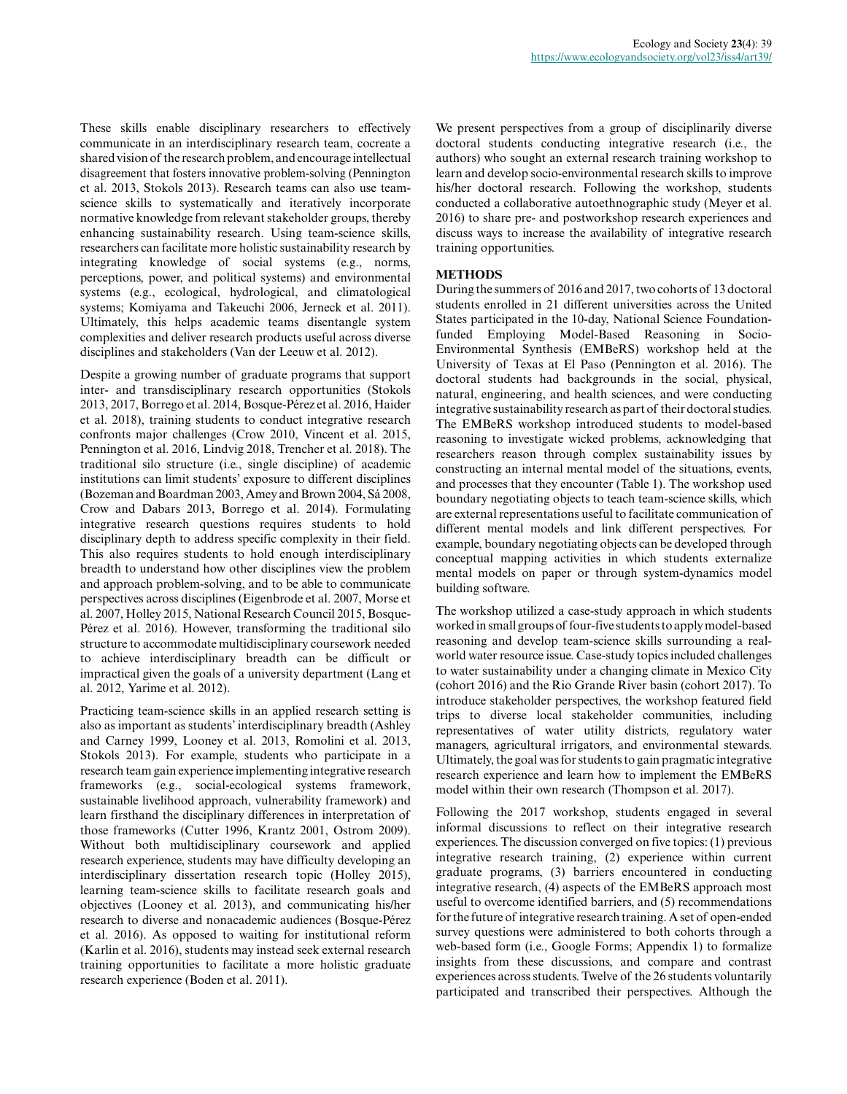These skills enable disciplinary researchers to effectively communicate in an interdisciplinary research team, cocreate a shared vision of the research problem, and encourage intellectual disagreement that fosters innovative problem-solving (Pennington et al. 2013, Stokols 2013). Research teams can also use teamscience skills to systematically and iteratively incorporate normative knowledge from relevant stakeholder groups, thereby enhancing sustainability research. Using team-science skills, researchers can facilitate more holistic sustainability research by integrating knowledge of social systems (e.g., norms, perceptions, power, and political systems) and environmental systems (e.g., ecological, hydrological, and climatological systems; Komiyama and Takeuchi 2006, Jerneck et al. 2011). Ultimately, this helps academic teams disentangle system complexities and deliver research products useful across diverse disciplines and stakeholders (Van der Leeuw et al. 2012).

Despite a growing number of graduate programs that support inter- and transdisciplinary research opportunities (Stokols 2013, 2017, Borrego et al. 2014, Bosque-Pérez et al. 2016, Haider et al. 2018), training students to conduct integrative research confronts major challenges (Crow 2010, Vincent et al. 2015, Pennington et al. 2016, Lindvig 2018, Trencher et al. 2018). The traditional silo structure (i.e., single discipline) of academic institutions can limit students' exposure to different disciplines (Bozeman and Boardman 2003, Amey and Brown 2004, Sá 2008, Crow and Dabars 2013, Borrego et al. 2014). Formulating integrative research questions requires students to hold disciplinary depth to address specific complexity in their field. This also requires students to hold enough interdisciplinary breadth to understand how other disciplines view the problem and approach problem-solving, and to be able to communicate perspectives across disciplines (Eigenbrode et al. 2007, Morse et al. 2007, Holley 2015, National Research Council 2015, Bosque-Pérez et al. 2016). However, transforming the traditional silo structure to accommodate multidisciplinary coursework needed to achieve interdisciplinary breadth can be difficult or impractical given the goals of a university department (Lang et al. 2012, Yarime et al. 2012).

Practicing team-science skills in an applied research setting is also as important as students' interdisciplinary breadth (Ashley and Carney 1999, Looney et al. 2013, Romolini et al. 2013, Stokols 2013). For example, students who participate in a research team gain experience implementing integrative research frameworks (e.g., social-ecological systems framework, sustainable livelihood approach, vulnerability framework) and learn firsthand the disciplinary differences in interpretation of those frameworks (Cutter 1996, Krantz 2001, Ostrom 2009). Without both multidisciplinary coursework and applied research experience, students may have difficulty developing an interdisciplinary dissertation research topic (Holley 2015), learning team-science skills to facilitate research goals and objectives (Looney et al. 2013), and communicating his/her research to diverse and nonacademic audiences (Bosque-Pérez et al. 2016). As opposed to waiting for institutional reform (Karlin et al. 2016), students may instead seek external research training opportunities to facilitate a more holistic graduate research experience (Boden et al. 2011).

We present perspectives from a group of disciplinarily diverse doctoral students conducting integrative research (i.e., the authors) who sought an external research training workshop to learn and develop socio-environmental research skills to improve his/her doctoral research. Following the workshop, students conducted a collaborative autoethnographic study (Meyer et al. 2016) to share pre- and postworkshop research experiences and discuss ways to increase the availability of integrative research training opportunities.

# **METHODS**

During the summers of 2016 and 2017, two cohorts of 13 doctoral students enrolled in 21 different universities across the United States participated in the 10-day, National Science Foundationfunded Employing Model-Based Reasoning in Socio-Environmental Synthesis (EMBeRS) workshop held at the University of Texas at El Paso (Pennington et al. 2016). The doctoral students had backgrounds in the social, physical, natural, engineering, and health sciences, and were conducting integrative sustainability research as part of their doctoral studies. The EMBeRS workshop introduced students to model-based reasoning to investigate wicked problems, acknowledging that researchers reason through complex sustainability issues by constructing an internal mental model of the situations, events, and processes that they encounter (Table 1). The workshop used boundary negotiating objects to teach team-science skills, which are external representations useful to facilitate communication of different mental models and link different perspectives. For example, boundary negotiating objects can be developed through conceptual mapping activities in which students externalize mental models on paper or through system-dynamics model building software.

The workshop utilized a case-study approach in which students worked in small groups of four-five students to apply model-based reasoning and develop team-science skills surrounding a realworld water resource issue. Case-study topics included challenges to water sustainability under a changing climate in Mexico City (cohort 2016) and the Rio Grande River basin (cohort 2017). To introduce stakeholder perspectives, the workshop featured field trips to diverse local stakeholder communities, including representatives of water utility districts, regulatory water managers, agricultural irrigators, and environmental stewards. Ultimately, the goal was for students to gain pragmatic integrative research experience and learn how to implement the EMBeRS model within their own research (Thompson et al. 2017).

Following the 2017 workshop, students engaged in several informal discussions to reflect on their integrative research experiences. The discussion converged on five topics: (1) previous integrative research training, (2) experience within current graduate programs, (3) barriers encountered in conducting integrative research, (4) aspects of the EMBeRS approach most useful to overcome identified barriers, and (5) recommendations for the future of integrative research training. A set of open-ended survey questions were administered to both cohorts through a web-based form (i.e., Google Forms; Appendix 1) to formalize insights from these discussions, and compare and contrast experiences across students. Twelve of the 26 students voluntarily participated and transcribed their perspectives. Although the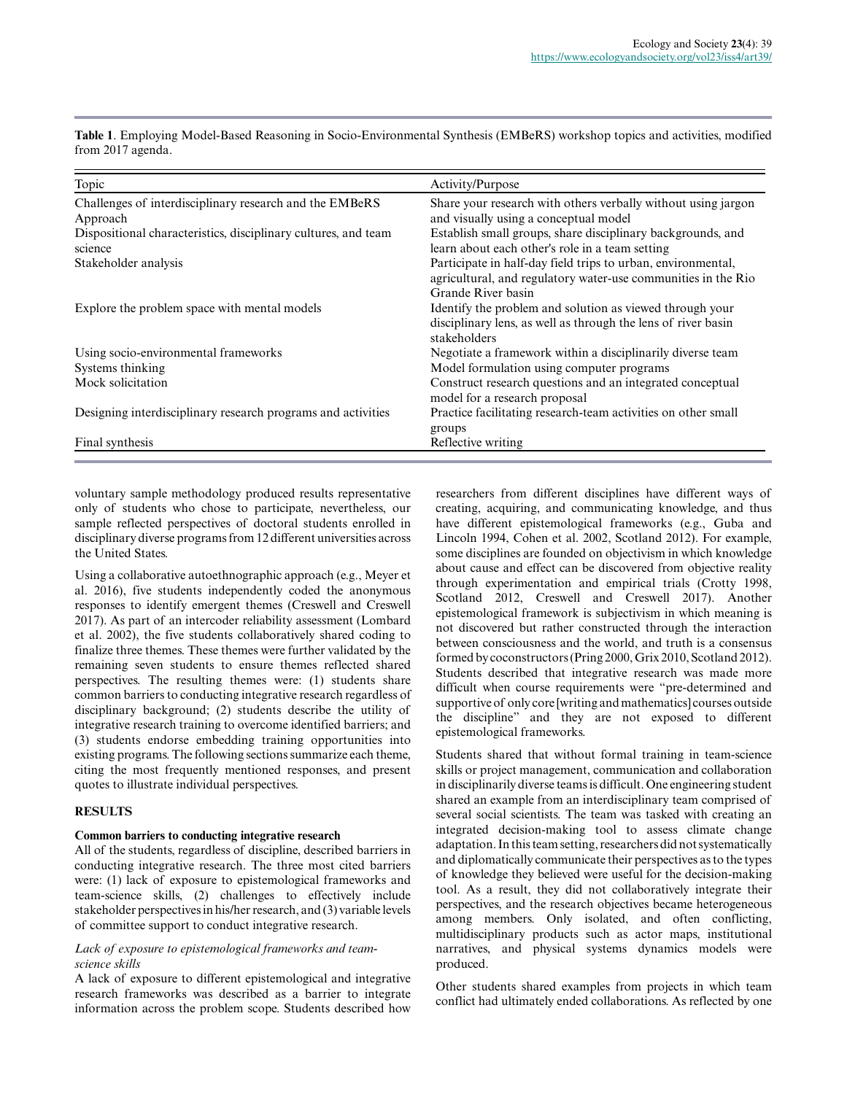**Table 1**. Employing Model-Based Reasoning in Socio-Environmental Synthesis (EMBeRS) workshop topics and activities, modified from 2017 agenda.

| Topic                                                                     | Activity/Purpose                                                                                                                                    |
|---------------------------------------------------------------------------|-----------------------------------------------------------------------------------------------------------------------------------------------------|
| Challenges of interdisciplinary research and the EMBeRS<br>Approach       | Share your research with others verbally without using jargon<br>and visually using a conceptual model                                              |
| Dispositional characteristics, disciplinary cultures, and team<br>science | Establish small groups, share disciplinary backgrounds, and<br>learn about each other's role in a team setting                                      |
| Stakeholder analysis                                                      | Participate in half-day field trips to urban, environmental,<br>agricultural, and regulatory water-use communities in the Rio<br>Grande River basin |
| Explore the problem space with mental models                              | Identify the problem and solution as viewed through your<br>disciplinary lens, as well as through the lens of river basin<br>stakeholders           |
| Using socio-environmental frameworks                                      | Negotiate a framework within a disciplinarily diverse team                                                                                          |
| Systems thinking                                                          | Model formulation using computer programs                                                                                                           |
| Mock solicitation                                                         | Construct research questions and an integrated conceptual<br>model for a research proposal                                                          |
| Designing interdisciplinary research programs and activities              | Practice facilitating research-team activities on other small<br>groups                                                                             |
| Final synthesis                                                           | Reflective writing                                                                                                                                  |

voluntary sample methodology produced results representative only of students who chose to participate, nevertheless, our sample reflected perspectives of doctoral students enrolled in disciplinary diverse programs from 12 different universities across the United States.

Using a collaborative autoethnographic approach (e.g., Meyer et al. 2016), five students independently coded the anonymous responses to identify emergent themes (Creswell and Creswell 2017). As part of an intercoder reliability assessment (Lombard et al. 2002), the five students collaboratively shared coding to finalize three themes. These themes were further validated by the remaining seven students to ensure themes reflected shared perspectives. The resulting themes were: (1) students share common barriers to conducting integrative research regardless of disciplinary background; (2) students describe the utility of integrative research training to overcome identified barriers; and (3) students endorse embedding training opportunities into existing programs. The following sections summarize each theme, citing the most frequently mentioned responses, and present quotes to illustrate individual perspectives.

# **RESULTS**

# **Common barriers to conducting integrative research**

All of the students, regardless of discipline, described barriers in conducting integrative research. The three most cited barriers were: (1) lack of exposure to epistemological frameworks and team-science skills, (2) challenges to effectively include stakeholder perspectives in his/her research, and (3) variable levels of committee support to conduct integrative research.

### *Lack of exposure to epistemological frameworks and teamscience skills*

A lack of exposure to different epistemological and integrative research frameworks was described as a barrier to integrate information across the problem scope. Students described how

researchers from different disciplines have different ways of creating, acquiring, and communicating knowledge, and thus have different epistemological frameworks (e.g., Guba and Lincoln 1994, Cohen et al. 2002, Scotland 2012). For example, some disciplines are founded on objectivism in which knowledge about cause and effect can be discovered from objective reality through experimentation and empirical trials (Crotty 1998, Scotland 2012, Creswell and Creswell 2017). Another epistemological framework is subjectivism in which meaning is not discovered but rather constructed through the interaction between consciousness and the world, and truth is a consensus formed by coconstructors (Pring 2000, Grix 2010, Scotland 2012). Students described that integrative research was made more difficult when course requirements were "pre-determined and supportive of only core [writing and mathematics] courses outside the discipline" and they are not exposed to different epistemological frameworks.

Students shared that without formal training in team-science skills or project management, communication and collaboration in disciplinarily diverse teams is difficult. One engineering student shared an example from an interdisciplinary team comprised of several social scientists. The team was tasked with creating an integrated decision-making tool to assess climate change adaptation. In this team setting, researchers did not systematically and diplomatically communicate their perspectives as to the types of knowledge they believed were useful for the decision-making tool. As a result, they did not collaboratively integrate their perspectives, and the research objectives became heterogeneous among members. Only isolated, and often conflicting, multidisciplinary products such as actor maps, institutional narratives, and physical systems dynamics models were produced.

Other students shared examples from projects in which team conflict had ultimately ended collaborations. As reflected by one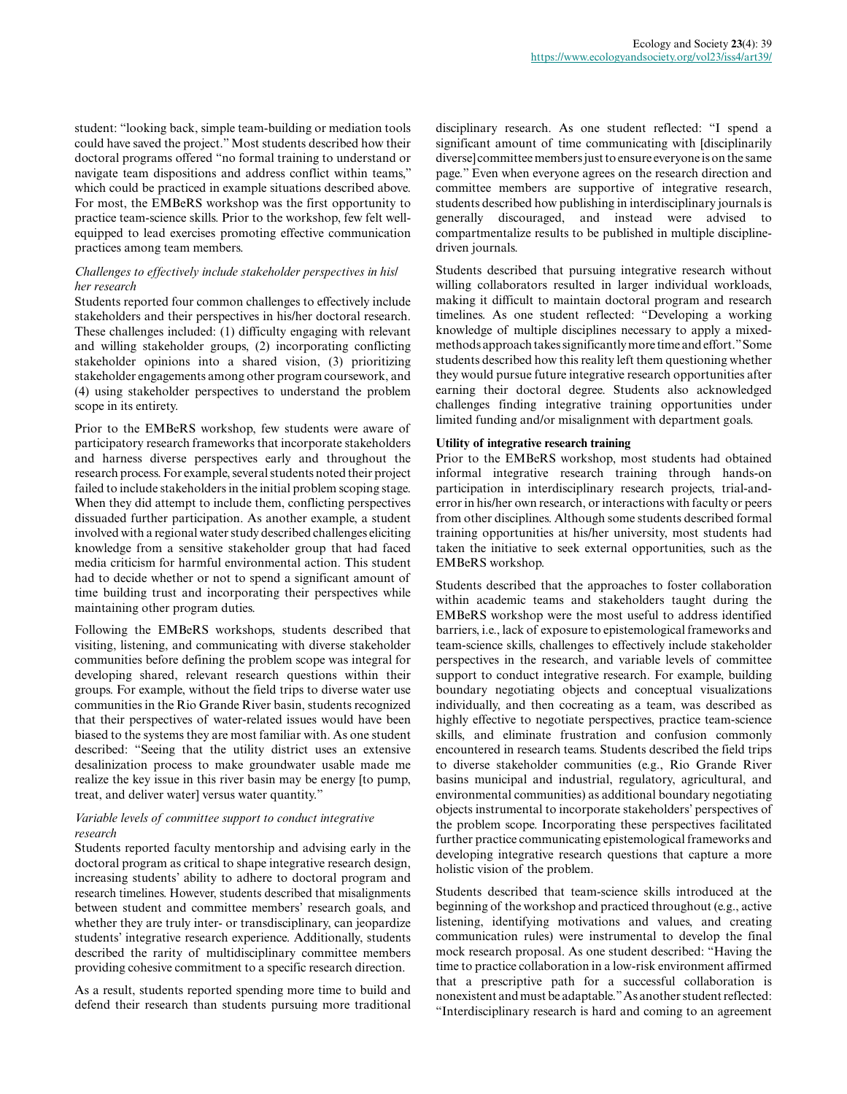student: "looking back, simple team-building or mediation tools could have saved the project." Most students described how their doctoral programs offered "no formal training to understand or navigate team dispositions and address conflict within teams," which could be practiced in example situations described above. For most, the EMBeRS workshop was the first opportunity to practice team-science skills. Prior to the workshop, few felt wellequipped to lead exercises promoting effective communication practices among team members.

## *Challenges to effectively include stakeholder perspectives in his/ her research*

Students reported four common challenges to effectively include stakeholders and their perspectives in his/her doctoral research. These challenges included: (1) difficulty engaging with relevant and willing stakeholder groups, (2) incorporating conflicting stakeholder opinions into a shared vision, (3) prioritizing stakeholder engagements among other program coursework, and (4) using stakeholder perspectives to understand the problem scope in its entirety.

Prior to the EMBeRS workshop, few students were aware of participatory research frameworks that incorporate stakeholders and harness diverse perspectives early and throughout the research process. For example, several students noted their project failed to include stakeholders in the initial problem scoping stage. When they did attempt to include them, conflicting perspectives dissuaded further participation. As another example, a student involved with a regional water study described challenges eliciting knowledge from a sensitive stakeholder group that had faced media criticism for harmful environmental action. This student had to decide whether or not to spend a significant amount of time building trust and incorporating their perspectives while maintaining other program duties.

Following the EMBeRS workshops, students described that visiting, listening, and communicating with diverse stakeholder communities before defining the problem scope was integral for developing shared, relevant research questions within their groups. For example, without the field trips to diverse water use communities in the Rio Grande River basin, students recognized that their perspectives of water-related issues would have been biased to the systems they are most familiar with. As one student described: "Seeing that the utility district uses an extensive desalinization process to make groundwater usable made me realize the key issue in this river basin may be energy [to pump, treat, and deliver water] versus water quantity."

### *Variable levels of committee support to conduct integrative research*

Students reported faculty mentorship and advising early in the doctoral program as critical to shape integrative research design, increasing students' ability to adhere to doctoral program and research timelines. However, students described that misalignments between student and committee members' research goals, and whether they are truly inter- or transdisciplinary, can jeopardize students' integrative research experience. Additionally, students described the rarity of multidisciplinary committee members providing cohesive commitment to a specific research direction.

As a result, students reported spending more time to build and defend their research than students pursuing more traditional disciplinary research. As one student reflected: "I spend a significant amount of time communicating with [disciplinarily diverse] committee members just to ensure everyone is on the same page." Even when everyone agrees on the research direction and committee members are supportive of integrative research, students described how publishing in interdisciplinary journals is generally discouraged, and instead were advised to compartmentalize results to be published in multiple disciplinedriven journals.

Students described that pursuing integrative research without willing collaborators resulted in larger individual workloads, making it difficult to maintain doctoral program and research timelines. As one student reflected: "Developing a working knowledge of multiple disciplines necessary to apply a mixedmethods approach takes significantly more time and effort." Some students described how this reality left them questioning whether they would pursue future integrative research opportunities after earning their doctoral degree. Students also acknowledged challenges finding integrative training opportunities under limited funding and/or misalignment with department goals.

# **Utility of integrative research training**

Prior to the EMBeRS workshop, most students had obtained informal integrative research training through hands-on participation in interdisciplinary research projects, trial-anderror in his/her own research, or interactions with faculty or peers from other disciplines. Although some students described formal training opportunities at his/her university, most students had taken the initiative to seek external opportunities, such as the EMBeRS workshop.

Students described that the approaches to foster collaboration within academic teams and stakeholders taught during the EMBeRS workshop were the most useful to address identified barriers, i.e., lack of exposure to epistemological frameworks and team-science skills, challenges to effectively include stakeholder perspectives in the research, and variable levels of committee support to conduct integrative research. For example, building boundary negotiating objects and conceptual visualizations individually, and then cocreating as a team, was described as highly effective to negotiate perspectives, practice team-science skills, and eliminate frustration and confusion commonly encountered in research teams. Students described the field trips to diverse stakeholder communities (e.g., Rio Grande River basins municipal and industrial, regulatory, agricultural, and environmental communities) as additional boundary negotiating objects instrumental to incorporate stakeholders' perspectives of the problem scope. Incorporating these perspectives facilitated further practice communicating epistemological frameworks and developing integrative research questions that capture a more holistic vision of the problem.

Students described that team-science skills introduced at the beginning of the workshop and practiced throughout (e.g., active listening, identifying motivations and values, and creating communication rules) were instrumental to develop the final mock research proposal. As one student described: "Having the time to practice collaboration in a low-risk environment affirmed that a prescriptive path for a successful collaboration is nonexistent and must be adaptable." As another student reflected: "Interdisciplinary research is hard and coming to an agreement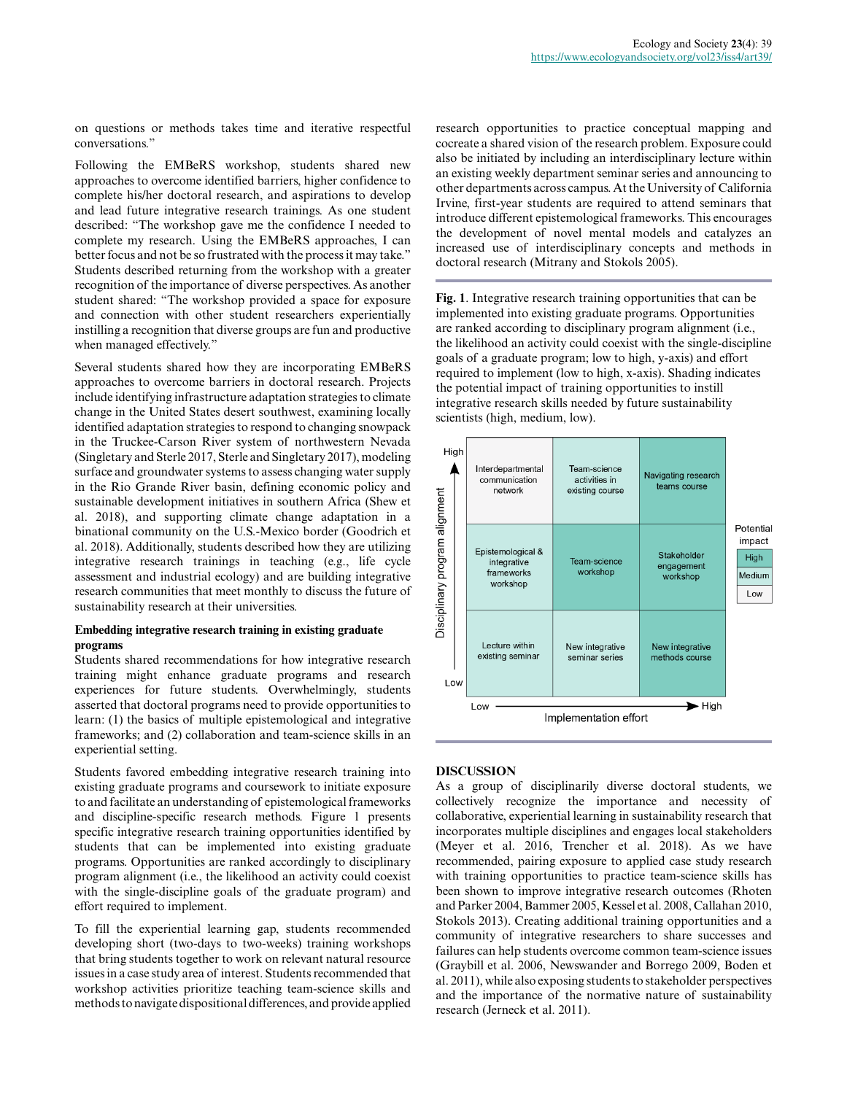on questions or methods takes time and iterative respectful conversations."

Following the EMBeRS workshop, students shared new approaches to overcome identified barriers, higher confidence to complete his/her doctoral research, and aspirations to develop and lead future integrative research trainings. As one student described: "The workshop gave me the confidence I needed to complete my research. Using the EMBeRS approaches, I can better focus and not be so frustrated with the process it may take." Students described returning from the workshop with a greater recognition of the importance of diverse perspectives. As another student shared: "The workshop provided a space for exposure and connection with other student researchers experientially instilling a recognition that diverse groups are fun and productive when managed effectively."

Several students shared how they are incorporating EMBeRS approaches to overcome barriers in doctoral research. Projects include identifying infrastructure adaptation strategies to climate change in the United States desert southwest, examining locally identified adaptation strategies to respond to changing snowpack in the Truckee-Carson River system of northwestern Nevada (Singletary and Sterle 2017, Sterle and Singletary 2017), modeling surface and groundwater systems to assess changing water supply in the Rio Grande River basin, defining economic policy and sustainable development initiatives in southern Africa (Shew et al. 2018), and supporting climate change adaptation in a binational community on the U.S.-Mexico border (Goodrich et al. 2018). Additionally, students described how they are utilizing integrative research trainings in teaching (e.g., life cycle assessment and industrial ecology) and are building integrative research communities that meet monthly to discuss the future of sustainability research at their universities.

#### **Embedding integrative research training in existing graduate programs**

Students shared recommendations for how integrative research training might enhance graduate programs and research experiences for future students. Overwhelmingly, students asserted that doctoral programs need to provide opportunities to learn: (1) the basics of multiple epistemological and integrative frameworks; and (2) collaboration and team-science skills in an experiential setting.

Students favored embedding integrative research training into existing graduate programs and coursework to initiate exposure to and facilitate an understanding of epistemological frameworks and discipline-specific research methods. Figure 1 presents specific integrative research training opportunities identified by students that can be implemented into existing graduate programs. Opportunities are ranked accordingly to disciplinary program alignment (i.e., the likelihood an activity could coexist with the single-discipline goals of the graduate program) and effort required to implement.

To fill the experiential learning gap, students recommended developing short (two-days to two-weeks) training workshops that bring students together to work on relevant natural resource issues in a case study area of interest. Students recommended that workshop activities prioritize teaching team-science skills and methods to navigate dispositional differences, and provide applied

research opportunities to practice conceptual mapping and cocreate a shared vision of the research problem. Exposure could also be initiated by including an interdisciplinary lecture within an existing weekly department seminar series and announcing to other departments across campus. At the University of California Irvine, first-year students are required to attend seminars that introduce different epistemological frameworks. This encourages the development of novel mental models and catalyzes an increased use of interdisciplinary concepts and methods in doctoral research (Mitrany and Stokols 2005).

**Fig. 1**. Integrative research training opportunities that can be implemented into existing graduate programs. Opportunities are ranked according to disciplinary program alignment (i.e., the likelihood an activity could coexist with the single-discipline goals of a graduate program; low to high, y-axis) and effort required to implement (low to high, x-axis). Shading indicates the potential impact of training opportunities to instill integrative research skills needed by future sustainability scientists (high, medium, low).



# **DISCUSSION**

As a group of disciplinarily diverse doctoral students, we collectively recognize the importance and necessity of collaborative, experiential learning in sustainability research that incorporates multiple disciplines and engages local stakeholders (Meyer et al. 2016, Trencher et al. 2018). As we have recommended, pairing exposure to applied case study research with training opportunities to practice team-science skills has been shown to improve integrative research outcomes (Rhoten and Parker 2004, Bammer 2005, Kessel et al. 2008, Callahan 2010, Stokols 2013). Creating additional training opportunities and a community of integrative researchers to share successes and failures can help students overcome common team-science issues (Graybill et al. 2006, Newswander and Borrego 2009, Boden et al. 2011), while also exposing students to stakeholder perspectives and the importance of the normative nature of sustainability research (Jerneck et al. 2011).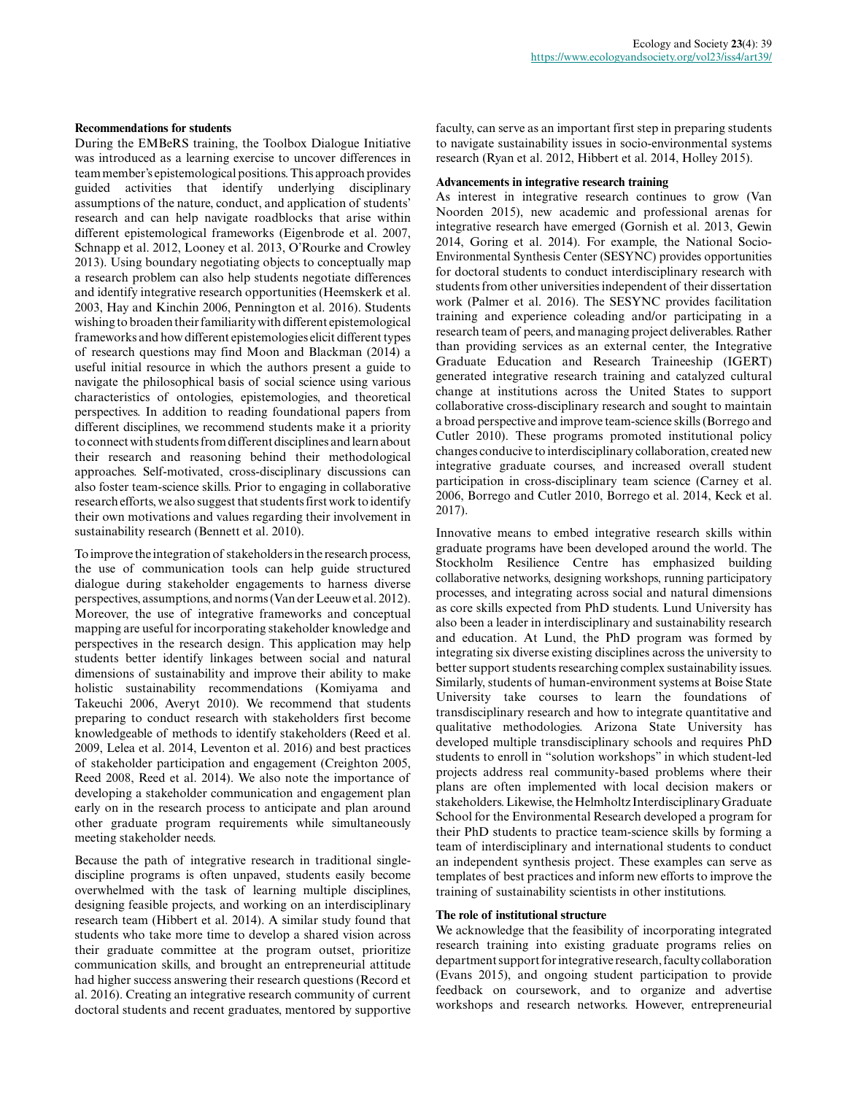During the EMBeRS training, the Toolbox Dialogue Initiative was introduced as a learning exercise to uncover differences in team member's epistemological positions. This approach provides guided activities that identify underlying disciplinary assumptions of the nature, conduct, and application of students' research and can help navigate roadblocks that arise within different epistemological frameworks (Eigenbrode et al. 2007, Schnapp et al. 2012, Looney et al. 2013, O'Rourke and Crowley 2013). Using boundary negotiating objects to conceptually map a research problem can also help students negotiate differences and identify integrative research opportunities (Heemskerk et al. 2003, Hay and Kinchin 2006, Pennington et al. 2016). Students wishing to broaden their familiarity with different epistemological frameworks and how different epistemologies elicit different types of research questions may find Moon and Blackman (2014) a useful initial resource in which the authors present a guide to navigate the philosophical basis of social science using various characteristics of ontologies, epistemologies, and theoretical perspectives. In addition to reading foundational papers from different disciplines, we recommend students make it a priority to connect with students from different disciplines and learn about their research and reasoning behind their methodological approaches. Self-motivated, cross-disciplinary discussions can also foster team-science skills. Prior to engaging in collaborative research efforts, we also suggest that students first work to identify their own motivations and values regarding their involvement in sustainability research (Bennett et al. 2010).

To improve the integration of stakeholders in the research process, the use of communication tools can help guide structured dialogue during stakeholder engagements to harness diverse perspectives, assumptions, and norms (Van der Leeuw et al. 2012). Moreover, the use of integrative frameworks and conceptual mapping are useful for incorporating stakeholder knowledge and perspectives in the research design. This application may help students better identify linkages between social and natural dimensions of sustainability and improve their ability to make holistic sustainability recommendations (Komiyama and Takeuchi 2006, Averyt 2010). We recommend that students preparing to conduct research with stakeholders first become knowledgeable of methods to identify stakeholders (Reed et al. 2009, Lelea et al. 2014, Leventon et al. 2016) and best practices of stakeholder participation and engagement (Creighton 2005, Reed 2008, Reed et al. 2014). We also note the importance of developing a stakeholder communication and engagement plan early on in the research process to anticipate and plan around other graduate program requirements while simultaneously meeting stakeholder needs.

Because the path of integrative research in traditional singlediscipline programs is often unpaved, students easily become overwhelmed with the task of learning multiple disciplines, designing feasible projects, and working on an interdisciplinary research team (Hibbert et al. 2014). A similar study found that students who take more time to develop a shared vision across their graduate committee at the program outset, prioritize communication skills, and brought an entrepreneurial attitude had higher success answering their research questions (Record et al. 2016). Creating an integrative research community of current doctoral students and recent graduates, mentored by supportive faculty, can serve as an important first step in preparing students to navigate sustainability issues in socio-environmental systems research (Ryan et al. 2012, Hibbert et al. 2014, Holley 2015).

#### **Advancements in integrative research training**

As interest in integrative research continues to grow (Van Noorden 2015), new academic and professional arenas for integrative research have emerged (Gornish et al. 2013, Gewin 2014, Goring et al. 2014). For example, the National Socio-Environmental Synthesis Center (SESYNC) provides opportunities for doctoral students to conduct interdisciplinary research with students from other universities independent of their dissertation work (Palmer et al. 2016). The SESYNC provides facilitation training and experience coleading and/or participating in a research team of peers, and managing project deliverables. Rather than providing services as an external center, the Integrative Graduate Education and Research Traineeship (IGERT) generated integrative research training and catalyzed cultural change at institutions across the United States to support collaborative cross-disciplinary research and sought to maintain a broad perspective and improve team-science skills (Borrego and Cutler 2010). These programs promoted institutional policy changes conducive to interdisciplinary collaboration, created new integrative graduate courses, and increased overall student participation in cross-disciplinary team science (Carney et al. 2006, Borrego and Cutler 2010, Borrego et al. 2014, Keck et al. 2017).

Innovative means to embed integrative research skills within graduate programs have been developed around the world. The Stockholm Resilience Centre has emphasized building collaborative networks, designing workshops, running participatory processes, and integrating across social and natural dimensions as core skills expected from PhD students. Lund University has also been a leader in interdisciplinary and sustainability research and education. At Lund, the PhD program was formed by integrating six diverse existing disciplines across the university to better support students researching complex sustainability issues. Similarly, students of human-environment systems at Boise State University take courses to learn the foundations of transdisciplinary research and how to integrate quantitative and qualitative methodologies. Arizona State University has developed multiple transdisciplinary schools and requires PhD students to enroll in "solution workshops" in which student-led projects address real community-based problems where their plans are often implemented with local decision makers or stakeholders. Likewise, the Helmholtz Interdisciplinary Graduate School for the Environmental Research developed a program for their PhD students to practice team-science skills by forming a team of interdisciplinary and international students to conduct an independent synthesis project. These examples can serve as templates of best practices and inform new efforts to improve the training of sustainability scientists in other institutions.

## **The role of institutional structure**

We acknowledge that the feasibility of incorporating integrated research training into existing graduate programs relies on department support for integrative research, faculty collaboration (Evans 2015), and ongoing student participation to provide feedback on coursework, and to organize and advertise workshops and research networks. However, entrepreneurial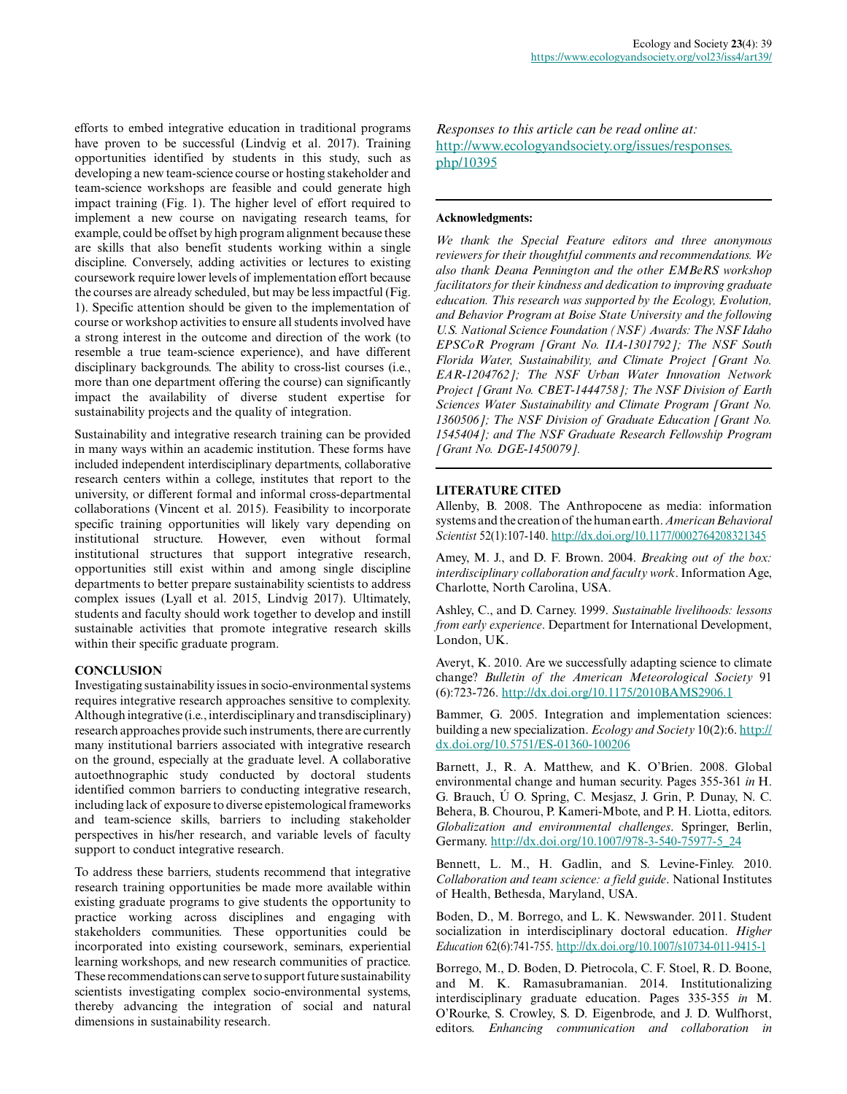efforts to embed integrative education in traditional programs have proven to be successful (Lindvig et al. 2017). Training opportunities identified by students in this study, such as developing a new team-science course or hosting stakeholder and team-science workshops are feasible and could generate high impact training (Fig. 1). The higher level of effort required to implement a new course on navigating research teams, for example, could be offset by high program alignment because these are skills that also benefit students working within a single discipline. Conversely, adding activities or lectures to existing coursework require lower levels of implementation effort because the courses are already scheduled, but may be less impactful (Fig. 1). Specific attention should be given to the implementation of course or workshop activities to ensure all students involved have a strong interest in the outcome and direction of the work (to resemble a true team-science experience), and have different disciplinary backgrounds. The ability to cross-list courses (i.e., more than one department offering the course) can significantly impact the availability of diverse student expertise for sustainability projects and the quality of integration.

Sustainability and integrative research training can be provided in many ways within an academic institution. These forms have included independent interdisciplinary departments, collaborative research centers within a college, institutes that report to the university, or different formal and informal cross-departmental collaborations (Vincent et al. 2015). Feasibility to incorporate specific training opportunities will likely vary depending on institutional structure. However, even without formal institutional structures that support integrative research, opportunities still exist within and among single discipline departments to better prepare sustainability scientists to address complex issues (Lyall et al. 2015, Lindvig 2017). Ultimately, students and faculty should work together to develop and instill sustainable activities that promote integrative research skills within their specific graduate program.

# **CONCLUSION**

Investigating sustainability issues in socio-environmental systems requires integrative research approaches sensitive to complexity. Although integrative (i.e., interdisciplinary and transdisciplinary) research approaches provide such instruments, there are currently many institutional barriers associated with integrative research on the ground, especially at the graduate level. A collaborative autoethnographic study conducted by doctoral students identified common barriers to conducting integrative research, including lack of exposure to diverse epistemological frameworks and team-science skills, barriers to including stakeholder perspectives in his/her research, and variable levels of faculty support to conduct integrative research.

To address these barriers, students recommend that integrative research training opportunities be made more available within existing graduate programs to give students the opportunity to practice working across disciplines and engaging with stakeholders communities. These opportunities could be incorporated into existing coursework, seminars, experiential learning workshops, and new research communities of practice. These recommendations can serve to support future sustainability scientists investigating complex socio-environmental systems, thereby advancing the integration of social and natural dimensions in sustainability research.

*Responses to this article can be read online at:* [http://www.ecologyandsociety.org/issues/responses.](http://www.ecologyandsociety.org/issues/responses.php/10395) [php/10395](http://www.ecologyandsociety.org/issues/responses.php/10395)

# **Acknowledgments:**

*We thank the Special Feature editors and three anonymous reviewers for their thoughtful comments and recommendations. We also thank Deana Pennington and the other EMBeRS workshop facilitators for their kindness and dedication to improving graduate education. This research was supported by the Ecology, Evolution, and Behavior Program at Boise State University and the following U.S. National Science Foundation (NSF) Awards: The NSF Idaho EPSCoR Program [Grant No. IIA-1301792]; The NSF South Florida Water, Sustainability, and Climate Project [Grant No. EAR-1204762]; The NSF Urban Water Innovation Network Project [Grant No. CBET-1444758]; The NSF Division of Earth Sciences Water Sustainability and Climate Program [Grant No. 1360506]; The NSF Division of Graduate Education [Grant No. 1545404]; and The NSF Graduate Research Fellowship Program [Grant No. DGE-1450079].*

# **LITERATURE CITED**

Allenby, B. 2008. The Anthropocene as media: information systems and the creation of the human earth. *American Behavioral Scientist* 52(1):107-140. [http://dx.doi.org/10.1177/0002764208321345](http://dx.doi.org/10.1177%2F0002764208321345) 

Amey, M. J., and D. F. Brown. 2004. *Breaking out of the box: interdisciplinary collaboration and faculty work*. Information Age, Charlotte, North Carolina, USA.

Ashley, C., and D. Carney. 1999. *Sustainable livelihoods: lessons from early experience*. Department for International Development, London, UK.

Averyt, K. 2010. Are we successfully adapting science to climate change? *Bulletin of the American Meteorological Society* 91 (6):723-726. [http://dx.doi.org/10.1175/2010BAMS2906.1](http://dx.doi.org/10.1175%2F2010BAMS2906.1) 

Bammer, G. 2005. Integration and implementation sciences: building a new specialization. *Ecology and Society* 10(2):6. [http://](http://dx.doi.org/10.5751%2FES-01360-100206) [dx.doi.org/10.5751/ES-01360-100206](http://dx.doi.org/10.5751%2FES-01360-100206)

Barnett, J., R. A. Matthew, and K. O'Brien. 2008. Global environmental change and human security. Pages 355-361 *in* H. G. Brauch, Ú O. Spring, C. Mesjasz, J. Grin, P. Dunay, N. C. Behera, B. Chourou, P. Kameri-Mbote, and P. H. Liotta, editors. *Globalization and environmental challenges*. Springer, Berlin, Germany. [http://dx.doi.org/10.1007/978-3-540-75977-5\\_24](http://dx.doi.org/10.1007%2F978-3-540-75977-5_24) 

Bennett, L. M., H. Gadlin, and S. Levine-Finley. 2010. *Collaboration and team science: a field guide*. National Institutes of Health, Bethesda, Maryland, USA.

Boden, D., M. Borrego, and L. K. Newswander. 2011. Student socialization in interdisciplinary doctoral education. *Higher Education* 62(6):741-755. [http://dx.doi.org/10.1007/s10734-011-9415-1](http://dx.doi.org/10.1007%2Fs10734-011-9415-1) 

Borrego, M., D. Boden, D. Pietrocola, C. F. Stoel, R. D. Boone, and M. K. Ramasubramanian. 2014. Institutionalizing interdisciplinary graduate education. Pages 335-355 *in* M. O'Rourke, S. Crowley, S. D. Eigenbrode, and J. D. Wulfhorst, editors. *Enhancing communication and collaboration in*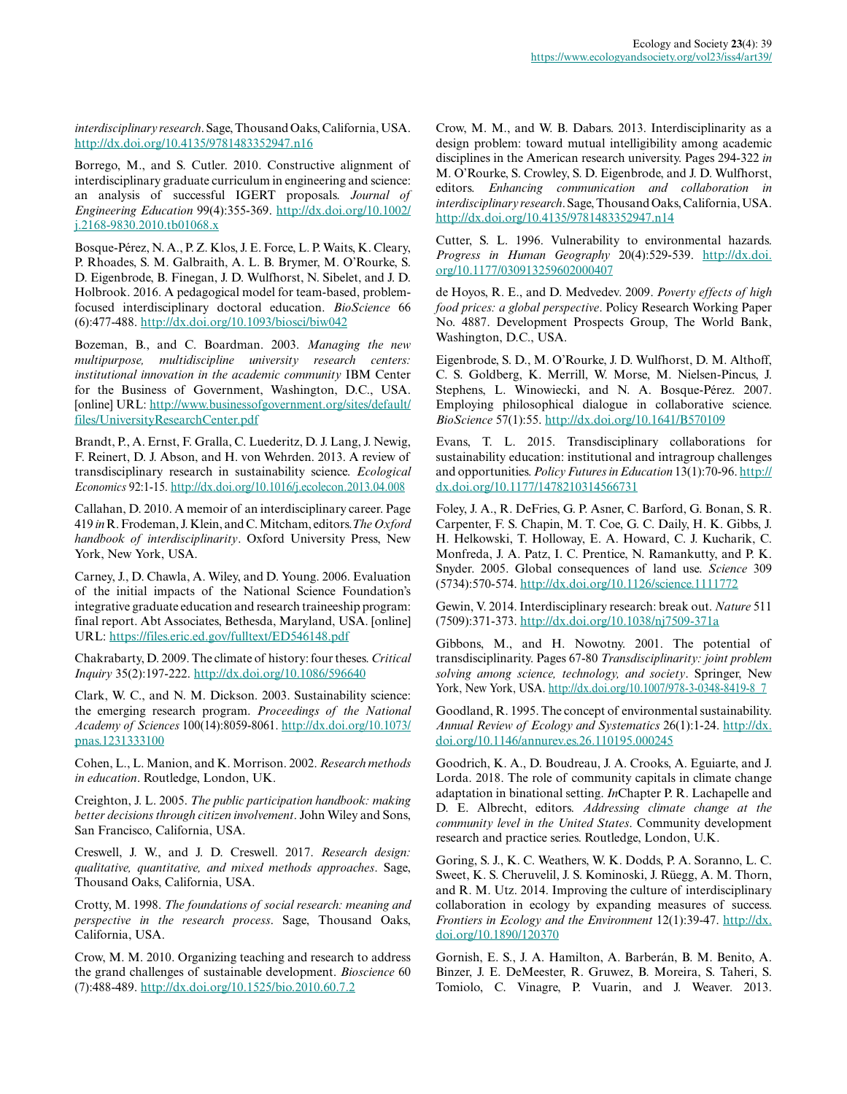*interdisciplinary research*. Sage, Thousand Oaks, California, USA. [http://dx.doi.org/10.4135/9781483352947.n16](http://dx.doi.org/10.4135%2F9781483352947.n16)

Borrego, M., and S. Cutler. 2010. Constructive alignment of interdisciplinary graduate curriculum in engineering and science: an analysis of successful IGERT proposals. *Journal of Engineering Education* 99(4):355-369. [http://dx.doi.org/10.1002/](http://dx.doi.org/10.1002%2Fj.2168-9830.2010.tb01068.x) [j.2168-9830.2010.tb01068.x](http://dx.doi.org/10.1002%2Fj.2168-9830.2010.tb01068.x)

Bosque-Pérez, N. A., P. Z. Klos, J. E. Force, L. P. Waits, K. Cleary, P. Rhoades, S. M. Galbraith, A. L. B. Brymer, M. O'Rourke, S. D. Eigenbrode, B. Finegan, J. D. Wulfhorst, N. Sibelet, and J. D. Holbrook. 2016. A pedagogical model for team-based, problemfocused interdisciplinary doctoral education. *BioScience* 66 (6):477-488. [http://dx.doi.org/10.1093/biosci/biw042](http://dx.doi.org/10.1093%2Fbiosci%2Fbiw042)

Bozeman, B., and C. Boardman. 2003. *Managing the new multipurpose, multidiscipline university research centers: institutional innovation in the academic community* IBM Center for the Business of Government, Washington, D.C., USA. [online] URL: [http://www.businessofgovernment.org/sites/default/](http://www.businessofgovernment.org/sites/default/files/UniversityResearchCenter.pdf) [files/UniversityResearchCenter.pdf](http://www.businessofgovernment.org/sites/default/files/UniversityResearchCenter.pdf)

Brandt, P., A. Ernst, F. Gralla, C. Luederitz, D. J. Lang, J. Newig, F. Reinert, D. J. Abson, and H. von Wehrden. 2013. A review of transdisciplinary research in sustainability science. *Ecological Economics* 92:1-15. [http://dx.doi.org/10.1016/j.ecolecon.2013.04.008](http://dx.doi.org/10.1016%2Fj.ecolecon.2013.04.008) 

Callahan, D. 2010. A memoir of an interdisciplinary career. Page 419 *in* R. Frodeman, J. Klein, and C. Mitcham, editors.*The Oxford handbook of interdisciplinarity*. Oxford University Press, New York, New York, USA.

Carney, J., D. Chawla, A. Wiley, and D. Young. 2006. Evaluation of the initial impacts of the National Science Foundation's integrative graduate education and research traineeship program: final report. Abt Associates, Bethesda, Maryland, USA. [online] URL:<https://files.eric.ed.gov/fulltext/ED546148.pdf>

Chakrabarty, D. 2009. The climate of history: four theses. *Critical Inquiry* 35(2):197-222. [http://dx.doi.org/10.1086/596640](http://dx.doi.org/10.1086%2F596640)

Clark, W. C., and N. M. Dickson. 2003. Sustainability science: the emerging research program. *Proceedings of the National Academy of Sciences* 100(14):8059-8061. [http://dx.doi.org/10.1073/](http://dx.doi.org/10.1073%2Fpnas.1231333100) [pnas.1231333100](http://dx.doi.org/10.1073%2Fpnas.1231333100) 

Cohen, L., L. Manion, and K. Morrison. 2002. *Research methods in education*. Routledge, London, UK.

Creighton, J. L. 2005. *The public participation handbook: making better decisions through citizen involvement*. John Wiley and Sons, San Francisco, California, USA.

Creswell, J. W., and J. D. Creswell. 2017. *Research design: qualitative, quantitative, and mixed methods approaches*. Sage, Thousand Oaks, California, USA.

Crotty, M. 1998. *The foundations of social research: meaning and perspective in the research process*. Sage, Thousand Oaks, California, USA.

Crow, M. M. 2010. Organizing teaching and research to address the grand challenges of sustainable development. *Bioscience* 60 (7):488-489. [http://dx.doi.org/10.1525/bio.2010.60.7.2](http://dx.doi.org/10.1525%2Fbio.2010.60.7.2) 

Crow, M. M., and W. B. Dabars. 2013. Interdisciplinarity as a design problem: toward mutual intelligibility among academic disciplines in the American research university. Pages 294-322 *in* M. O'Rourke, S. Crowley, S. D. Eigenbrode, and J. D. Wulfhorst, editors. *Enhancing communication and collaboration in interdisciplinary research*. Sage, Thousand Oaks, California, USA. [http://dx.doi.org/10.4135/9781483352947.n14](http://dx.doi.org/10.4135%2F9781483352947.n14)

Cutter, S. L. 1996. Vulnerability to environmental hazards. *Progress in Human Geography* 20(4):529-539. [http://dx.doi.](http://dx.doi.org/10.1177%2F030913259602000407) [org/10.1177/030913259602000407](http://dx.doi.org/10.1177%2F030913259602000407)

de Hoyos, R. E., and D. Medvedev. 2009. *Poverty effects of high food prices: a global perspective*. Policy Research Working Paper No. 4887. Development Prospects Group, The World Bank, Washington, D.C., USA.

Eigenbrode, S. D., M. O'Rourke, J. D. Wulfhorst, D. M. Althoff, C. S. Goldberg, K. Merrill, W. Morse, M. Nielsen-Pincus, J. Stephens, L. Winowiecki, and N. A. Bosque-Pérez. 2007. Employing philosophical dialogue in collaborative science. *BioScience* 57(1):55. [http://dx.doi.org/10.1641/B570109](http://dx.doi.org/10.1641%2FB570109)

Evans, T. L. 2015. Transdisciplinary collaborations for sustainability education: institutional and intragroup challenges and opportunities. *Policy Futures in Education* 13(1):70-96. [http://](http://dx.doi.org/10.1177%2F1478210314566731) [dx.doi.org/10.1177/1478210314566731](http://dx.doi.org/10.1177%2F1478210314566731) 

Foley, J. A., R. DeFries, G. P. Asner, C. Barford, G. Bonan, S. R. Carpenter, F. S. Chapin, M. T. Coe, G. C. Daily, H. K. Gibbs, J. H. Helkowski, T. Holloway, E. A. Howard, C. J. Kucharik, C. Monfreda, J. A. Patz, I. C. Prentice, N. Ramankutty, and P. K. Snyder. 2005. Global consequences of land use. *Science* 309 (5734):570-574. [http://dx.doi.org/10.1126/science.1111772](http://dx.doi.org/10.1126%2Fscience.1111772) 

Gewin, V. 2014. Interdisciplinary research: break out. *Nature* 511 (7509):371-373. [http://dx.doi.org/10.1038/nj7509-371a](http://dx.doi.org/10.1038%2Fnj7509-371a) 

Gibbons, M., and H. Nowotny. 2001. The potential of transdisciplinarity. Pages 67-80 *Transdisciplinarity: joint problem solving among science, technology, and society*. Springer, New York, New York, USA. [http://dx.doi.org/10.1007/978-3-0348-8419-8\\_7](http://dx.doi.org/10.1007%2F978-3-0348-8419-8_7) 

Goodland, R. 1995. The concept of environmental sustainability. *Annual Review of Ecology and Systematics* 26(1):1-24. [http://dx.](http://dx.doi.org/10.1146%2Fannurev.es.26.110195.000245) [doi.org/10.1146/annurev.es.26.110195.000245](http://dx.doi.org/10.1146%2Fannurev.es.26.110195.000245) 

Goodrich, K. A., D. Boudreau, J. A. Crooks, A. Eguiarte, and J. Lorda. 2018. The role of community capitals in climate change adaptation in binational setting. *In*Chapter P. R. Lachapelle and D. E. Albrecht, editors. *Addressing climate change at the community level in the United States*. Community development research and practice series. Routledge, London, U.K.

Goring, S. J., K. C. Weathers, W. K. Dodds, P. A. Soranno, L. C. Sweet, K. S. Cheruvelil, J. S. Kominoski, J. Rüegg, A. M. Thorn, and R. M. Utz. 2014. Improving the culture of interdisciplinary collaboration in ecology by expanding measures of success. *Frontiers in Ecology and the Environment* 12(1):39-47. [http://dx.](http://dx.doi.org/10.1890%2F120370) [doi.org/10.1890/120370](http://dx.doi.org/10.1890%2F120370)

Gornish, E. S., J. A. Hamilton, A. Barberán, B. M. Benito, A. Binzer, J. E. DeMeester, R. Gruwez, B. Moreira, S. Taheri, S. Tomiolo, C. Vinagre, P. Vuarin, and J. Weaver. 2013.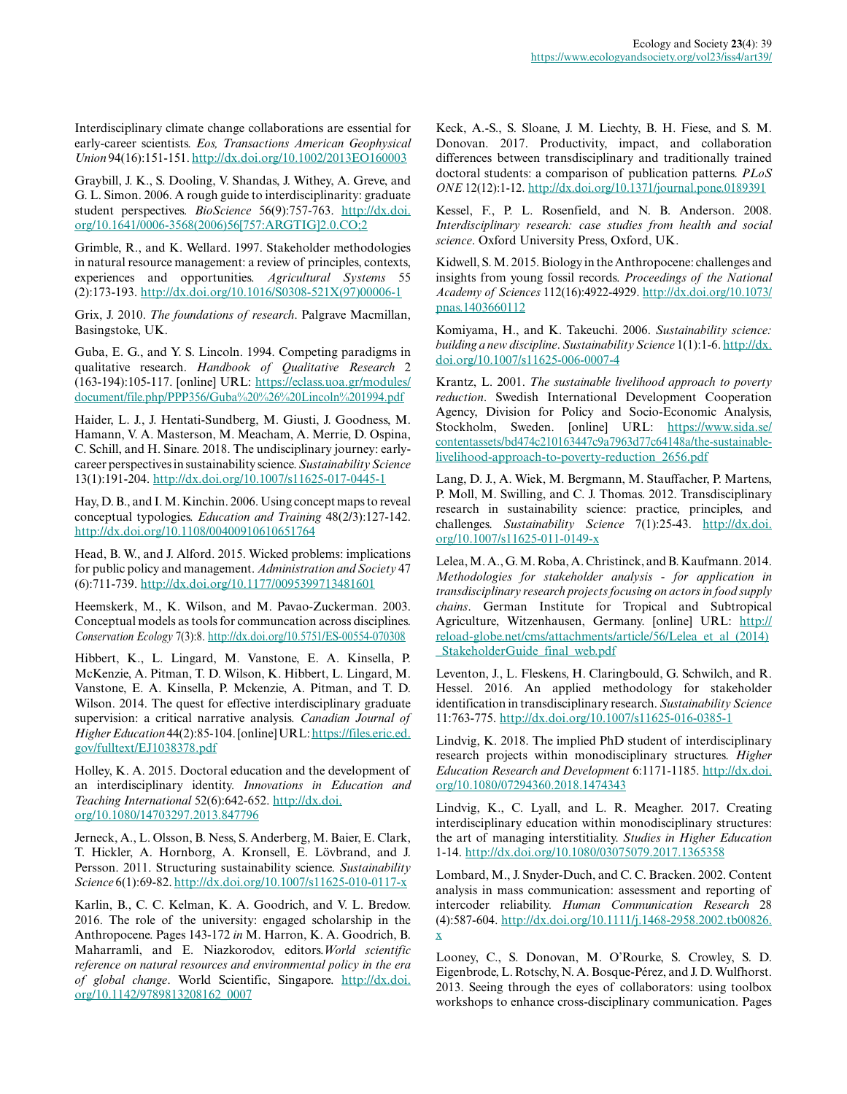Interdisciplinary climate change collaborations are essential for early-career scientists. *Eos, Transactions American Geophysical Union* 94(16):151-151. [http://dx.doi.org/10.1002/2013EO160003](http://dx.doi.org/10.1002%2F2013EO160003)

Graybill, J. K., S. Dooling, V. Shandas, J. Withey, A. Greve, and G. L. Simon. 2006. A rough guide to interdisciplinarity: graduate student perspectives. *BioScience* 56(9):757-763. [http://dx.doi.](http://dx.doi.org/10.1641%2F0006-3568%282006%2956%5B757%3AARGTIG%5D2.0.CO%3B2) [org/10.1641/0006-3568\(2006\)56\[757:ARGTIG\]2.0.CO;2](http://dx.doi.org/10.1641%2F0006-3568%282006%2956%5B757%3AARGTIG%5D2.0.CO%3B2) 

Grimble, R., and K. Wellard. 1997. Stakeholder methodologies in natural resource management: a review of principles, contexts, experiences and opportunities. *Agricultural Systems* 55 (2):173-193. [http://dx.doi.org/10.1016/S0308-521X\(97\)00006-1](http://dx.doi.org/10.1016%2FS0308-521X%2897%2900006-1)

Grix, J. 2010. *The foundations of research*. Palgrave Macmillan, Basingstoke, UK.

Guba, E. G., and Y. S. Lincoln. 1994. Competing paradigms in qualitative research. *Handbook of Qualitative Research* 2 (163-194):105-117. [online] URL: [https://eclass.uoa.gr/modules/](https://eclass.uoa.gr/modules/document/file.php/PPP356/Guba%20%26%20Lincoln%201994.pdf) [document/file.php/PPP356/Guba%20%26%20Lincoln%201994.pdf](https://eclass.uoa.gr/modules/document/file.php/PPP356/Guba%20%26%20Lincoln%201994.pdf)

Haider, L. J., J. Hentati-Sundberg, M. Giusti, J. Goodness, M. Hamann, V. A. Masterson, M. Meacham, A. Merrie, D. Ospina, C. Schill, and H. Sinare. 2018. The undisciplinary journey: earlycareer perspectives in sustainability science. *Sustainability Science* 13(1):191-204. [http://dx.doi.org/10.1007/s11625-017-0445-1](http://dx.doi.org/10.1007%2Fs11625-017-0445-1) 

Hay, D. B., and I. M. Kinchin. 2006. Using concept maps to reveal conceptual typologies. *Education and Training* 48(2/3):127-142. [http://dx.doi.org/10.1108/00400910610651764](http://dx.doi.org/10.1108%2F00400910610651764) 

Head, B. W., and J. Alford. 2015. Wicked problems: implications for public policy and management. *Administration and Society* 47 (6):711-739. [http://dx.doi.org/10.1177/0095399713481601](http://dx.doi.org/10.1177%2F0095399713481601) 

Heemskerk, M., K. Wilson, and M. Pavao-Zuckerman. 2003. Conceptual models as tools for communcation across disciplines. *Conservation Ecology* 7(3):8. [http://dx.doi.org/10.5751/ES-00554-070308](http://dx.doi.org/10.5751%2FES-00554-070308)

Hibbert, K., L. Lingard, M. Vanstone, E. A. Kinsella, P. McKenzie, A. Pitman, T. D. Wilson, K. Hibbert, L. Lingard, M. Vanstone, E. A. Kinsella, P. Mckenzie, A. Pitman, and T. D. Wilson. 2014. The quest for effective interdisciplinary graduate supervision: a critical narrative analysis. *Canadian Journal of Higher Education* 44(2):85-104. [online] URL: [https://files.eric.ed.](https://files.eric.ed.gov/fulltext/EJ1038378.pdf) [gov/fulltext/EJ1038378.pdf](https://files.eric.ed.gov/fulltext/EJ1038378.pdf)

Holley, K. A. 2015. Doctoral education and the development of an interdisciplinary identity. *Innovations in Education and Teaching International* 52(6):642-652. [http://dx.doi.](http://dx.doi.org/10.1080%2F14703297.2013.847796) [org/10.1080/14703297.2013.847796](http://dx.doi.org/10.1080%2F14703297.2013.847796)

Jerneck, A., L. Olsson, B. Ness, S. Anderberg, M. Baier, E. Clark, T. Hickler, A. Hornborg, A. Kronsell, E. Lövbrand, and J. Persson. 2011. Structuring sustainability science. *Sustainability Science* 6(1):69-82. [http://dx.doi.org/10.1007/s11625-010-0117-x](http://dx.doi.org/10.1007%2Fs11625-010-0117-x)

Karlin, B., C. C. Kelman, K. A. Goodrich, and V. L. Bredow. 2016. The role of the university: engaged scholarship in the Anthropocene. Pages 143-172 *in* M. Harron, K. A. Goodrich, B. Maharramli, and E. Niazkorodov, editors.*World scientific reference on natural resources and environmental policy in the era of global change*. World Scientific, Singapore. [http://dx.doi.](http://dx.doi.org/10.1142%2F9789813208162_0007) [org/10.1142/9789813208162\\_0007](http://dx.doi.org/10.1142%2F9789813208162_0007)

Keck, A.-S., S. Sloane, J. M. Liechty, B. H. Fiese, and S. M. Donovan. 2017. Productivity, impact, and collaboration differences between transdisciplinary and traditionally trained doctoral students: a comparison of publication patterns. *PLoS ONE* 12(12):1-12. [http://dx.doi.org/10.1371/journal.pone.0189391](http://dx.doi.org/10.1371%2Fjournal.pone.0189391) 

Kessel, F., P. L. Rosenfield, and N. B. Anderson. 2008. *Interdisciplinary research: case studies from health and social science*. Oxford University Press, Oxford, UK.

Kidwell, S. M. 2015. Biology in the Anthropocene: challenges and insights from young fossil records. *Proceedings of the National Academy of Sciences* 112(16):4922-4929. [http://dx.doi.org/10.1073/](http://dx.doi.org/10.1073%2Fpnas.1403660112) [pnas.1403660112](http://dx.doi.org/10.1073%2Fpnas.1403660112) 

Komiyama, H., and K. Takeuchi. 2006. *Sustainability science: building a new discipline*. *Sustainability Science* 1(1):1-6. [http://dx.](http://dx.doi.org/10.1007%2Fs11625-006-0007-4) [doi.org/10.1007/s11625-006-0007-4](http://dx.doi.org/10.1007%2Fs11625-006-0007-4) 

Krantz, L. 2001. *The sustainable livelihood approach to poverty reduction*. Swedish International Development Cooperation Agency, Division for Policy and Socio-Economic Analysis, Stockholm, Sweden. [online] URL: [https://www.sida.se/](https://www.sida.se/contentassets/bd474c210163447c9a7963d77c64148a/the-sustainable-livelihood-approach-to-poverty-reduction_2656.pdf) [contentassets/bd474c210163447c9a7963d77c64148a/the-sustainable](https://www.sida.se/contentassets/bd474c210163447c9a7963d77c64148a/the-sustainable-livelihood-approach-to-poverty-reduction_2656.pdf)[livelihood-approach-to-poverty-reduction\\_2656.pdf](https://www.sida.se/contentassets/bd474c210163447c9a7963d77c64148a/the-sustainable-livelihood-approach-to-poverty-reduction_2656.pdf)

Lang, D. J., A. Wiek, M. Bergmann, M. Stauffacher, P. Martens, P. Moll, M. Swilling, and C. J. Thomas. 2012. Transdisciplinary research in sustainability science: practice, principles, and challenges. *Sustainability Science* 7(1):25-43. [http://dx.doi.](http://dx.doi.org/10.1007%2Fs11625-011-0149-x) [org/10.1007/s11625-011-0149-x](http://dx.doi.org/10.1007%2Fs11625-011-0149-x)

Lelea, M. A., G. M. Roba, A. Christinck, and B. Kaufmann. 2014. *Methodologies for stakeholder analysis - for application in transdisciplinary research projects focusing on actors in food supply chains*. German Institute for Tropical and Subtropical Agriculture, Witzenhausen, Germany. [online] URL: [http://](http://reload-globe.net/cms/attachments/article/56/Lelea_et_al_(2014)_StakeholderGuide_final_web.pdf) [reload-globe.net/cms/attachments/article/56/Lelea\\_et\\_al\\_\(2014\)](http://reload-globe.net/cms/attachments/article/56/Lelea_et_al_(2014)_StakeholderGuide_final_web.pdf) [\\_StakeholderGuide\\_final\\_web.pdf](http://reload-globe.net/cms/attachments/article/56/Lelea_et_al_(2014)_StakeholderGuide_final_web.pdf)

Leventon, J., L. Fleskens, H. Claringbould, G. Schwilch, and R. Hessel. 2016. An applied methodology for stakeholder identification in transdisciplinary research. *Sustainability Science* 11:763-775. [http://dx.doi.org/10.1007/s11625-016-0385-1](http://dx.doi.org/10.1007%2Fs11625-016-0385-1)

Lindvig, K. 2018. The implied PhD student of interdisciplinary research projects within monodisciplinary structures. *Higher Education Research and Development* 6:1171-1185. [http://dx.doi.](http://dx.doi.org/10.1080%2F07294360.2018.1474343) [org/10.1080/07294360.2018.1474343](http://dx.doi.org/10.1080%2F07294360.2018.1474343) 

Lindvig, K., C. Lyall, and L. R. Meagher. 2017. Creating interdisciplinary education within monodisciplinary structures: the art of managing interstitiality. *Studies in Higher Education* 1-14. [http://dx.doi.org/10.1080/03075079.2017.1365358](http://dx.doi.org/10.1080%2F03075079.2017.1365358) 

Lombard, M., J. Snyder-Duch, and C. C. Bracken. 2002. Content analysis in mass communication: assessment and reporting of intercoder reliability. *Human Communication Research* 28 (4):587-604. [http://dx.doi.org/10.1111/j.1468-2958.2002.tb00826.](http://dx.doi.org/10.1111%2Fj.1468-2958.2002.tb00826.x) [x](http://dx.doi.org/10.1111%2Fj.1468-2958.2002.tb00826.x) 

Looney, C., S. Donovan, M. O'Rourke, S. Crowley, S. D. Eigenbrode, L. Rotschy, N. A. Bosque-Pérez, and J. D. Wulfhorst. 2013. Seeing through the eyes of collaborators: using toolbox workshops to enhance cross-disciplinary communication. Pages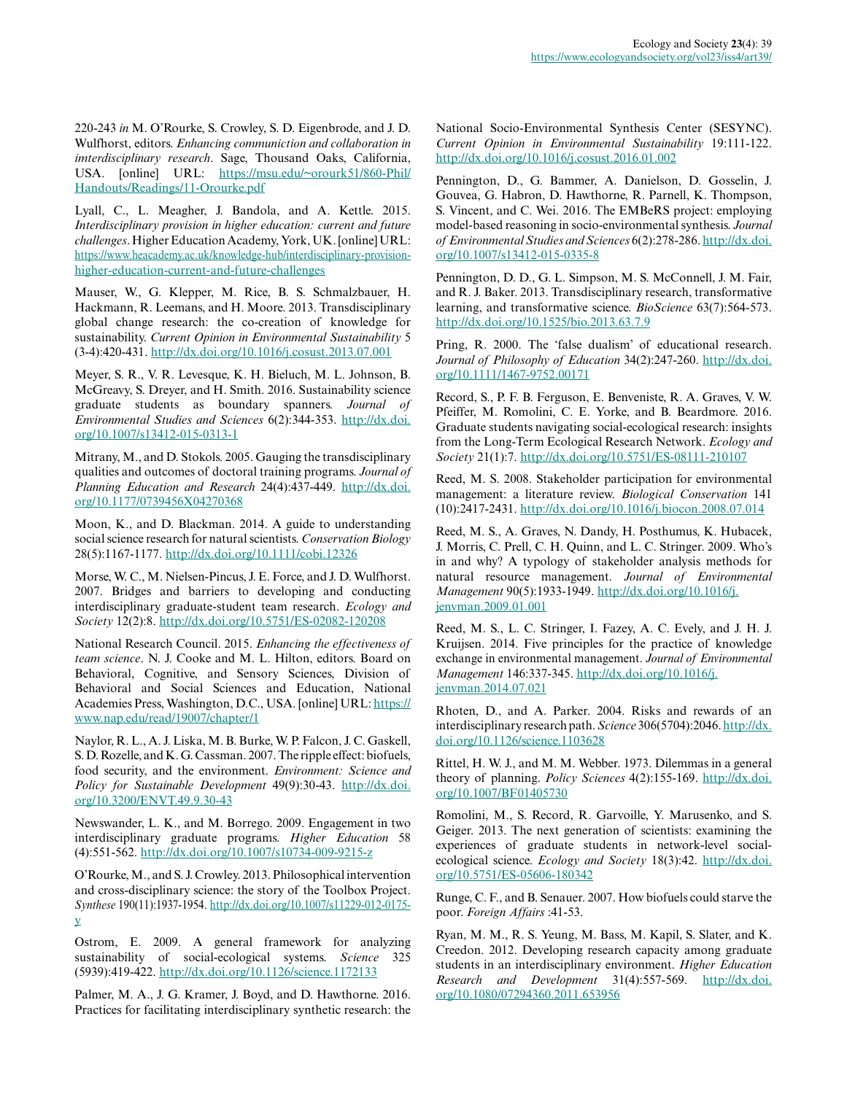220-243 *in* M. O'Rourke, S. Crowley, S. D. Eigenbrode, and J. D. Wulfhorst, editors. *Enhancing communiction and collaboration in imterdisciplinary research*. Sage, Thousand Oaks, California, USA. [online] URL: [https://msu.edu/~orourk51/860-Phil/](https://msu.edu/~orourk51/860-Phil/Handouts/Readings/11-Orourke.pdf) [Handouts/Readings/11-Orourke.pdf](https://msu.edu/~orourk51/860-Phil/Handouts/Readings/11-Orourke.pdf)

Lyall, C., L. Meagher, J. Bandola, and A. Kettle. 2015. *Interdisciplinary provision in higher education: current and future challenges*. Higher Education Academy, York, UK. [online] URL: [https://www.heacademy.ac.uk/knowledge-hub/interdisciplinary-provision](https://www.heacademy.ac.uk/knowledge-hub/interdisciplinary-provision-higher-education-current-and-future-challenges)[higher-education-current-and-future-challenges](https://www.heacademy.ac.uk/knowledge-hub/interdisciplinary-provision-higher-education-current-and-future-challenges) 

Mauser, W., G. Klepper, M. Rice, B. S. Schmalzbauer, H. Hackmann, R. Leemans, and H. Moore. 2013. Transdisciplinary global change research: the co-creation of knowledge for sustainability. *Current Opinion in Environmental Sustainability* 5 (3-4):420-431. [http://dx.doi.org/10.1016/j.cosust.2013.07.001](http://dx.doi.org/10.1016%2Fj.cosust.2013.07.001) 

Meyer, S. R., V. R. Levesque, K. H. Bieluch, M. L. Johnson, B. McGreavy, S. Dreyer, and H. Smith. 2016. Sustainability science graduate students as boundary spanners. *Journal of Environmental Studies and Sciences* 6(2):344-353. [http://dx.doi.](http://dx.doi.org/10.1007%2Fs13412-015-0313-1) [org/10.1007/s13412-015-0313-1](http://dx.doi.org/10.1007%2Fs13412-015-0313-1)

Mitrany, M., and D. Stokols. 2005. Gauging the transdisciplinary qualities and outcomes of doctoral training programs. *Journal of Planning Education and Research* 24(4):437-449. [http://dx.doi.](http://dx.doi.org/10.1177%2F0739456X04270368) [org/10.1177/0739456X04270368](http://dx.doi.org/10.1177%2F0739456X04270368) 

Moon, K., and D. Blackman. 2014. A guide to understanding social science research for natural scientists. *Conservation Biology* 28(5):1167-1177. [http://dx.doi.org/10.1111/cobi.12326](http://dx.doi.org/10.1111%2Fcobi.12326)

Morse, W. C., M. Nielsen-Pincus, J. E. Force, and J. D. Wulfhorst. 2007. Bridges and barriers to developing and conducting interdisciplinary graduate-student team research. *Ecology and Society* 12(2):8. [http://dx.doi.org/10.5751/ES-02082-120208](http://dx.doi.org/10.5751%2FES-02082-120208) 

National Research Council. 2015. *Enhancing the effectiveness of team science*. N. J. Cooke and M. L. Hilton, editors. Board on Behavioral, Cognitive, and Sensory Sciences, Division of Behavioral and Social Sciences and Education, National Academies Press, Washington, D.C., USA. [online] URL: [https://](https://www.nap.edu/read/19007/chapter/1) [www.nap.edu/read/19007/chapter/1](https://www.nap.edu/read/19007/chapter/1)

Naylor, R. L., A. J. Liska, M. B. Burke, W. P. Falcon, J. C. Gaskell, S. D. Rozelle, and K. G. Cassman. 2007. The ripple effect: biofuels, food security, and the environment. *Environment: Science and Policy for Sustainable Development* 49(9):30-43. [http://dx.doi.](http://dx.doi.org/10.3200%2FENVT.49.9.30-43) [org/10.3200/ENVT.49.9.30-43](http://dx.doi.org/10.3200%2FENVT.49.9.30-43) 

Newswander, L. K., and M. Borrego. 2009. Engagement in two interdisciplinary graduate programs. *Higher Education* 58 (4):551-562. [http://dx.doi.org/10.1007/s10734-009-9215-z](http://dx.doi.org/10.1007%2Fs10734-009-9215-z)

O'Rourke, M., and S. J. Crowley. 2013. Philosophical intervention and cross-disciplinary science: the story of the Toolbox Project. *Synthese* 190(11):1937-1954. [http://dx.doi.org/10.1007/s11229-012-0175](http://dx.doi.org/10.1007%2Fs11229-012-0175-y) [y](http://dx.doi.org/10.1007%2Fs11229-012-0175-y)

Ostrom, E. 2009. A general framework for analyzing sustainability of social-ecological systems. *Science* 325 (5939):419-422. [http://dx.doi.org/10.1126/science.1172133](http://dx.doi.org/10.1126%2Fscience.1172133) 

Palmer, M. A., J. G. Kramer, J. Boyd, and D. Hawthorne. 2016. Practices for facilitating interdisciplinary synthetic research: the National Socio-Environmental Synthesis Center (SESYNC). *Current Opinion in Environmental Sustainability* 19:111-122. [http://dx.doi.org/10.1016/j.cosust.2016.01.002](http://dx.doi.org/10.1016%2Fj.cosust.2016.01.002) 

Pennington, D., G. Bammer, A. Danielson, D. Gosselin, J. Gouvea, G. Habron, D. Hawthorne, R. Parnell, K. Thompson, S. Vincent, and C. Wei. 2016. The EMBeRS project: employing model-based reasoning in socio-environmental synthesis. *Journal of Environmental Studies and Sciences* 6(2):278-286. [http://dx.doi.](http://dx.doi.org/10.1007%2Fs13412-015-0335-8) [org/10.1007/s13412-015-0335-8](http://dx.doi.org/10.1007%2Fs13412-015-0335-8)

Pennington, D. D., G. L. Simpson, M. S. McConnell, J. M. Fair, and R. J. Baker. 2013. Transdisciplinary research, transformative learning, and transformative science. *BioScience* 63(7):564-573. [http://dx.doi.org/10.1525/bio.2013.63.7.9](http://dx.doi.org/10.1525%2Fbio.2013.63.7.9)

Pring, R. 2000. The 'false dualism' of educational research. *Journal of Philosophy of Education* 34(2):247-260. [http://dx.doi.](http://dx.doi.org/10.1111%2F1467-9752.00171) [org/10.1111/1467-9752.00171](http://dx.doi.org/10.1111%2F1467-9752.00171)

Record, S., P. F. B. Ferguson, E. Benveniste, R. A. Graves, V. W. Pfeiffer, M. Romolini, C. E. Yorke, and B. Beardmore. 2016. Graduate students navigating social-ecological research: insights from the Long-Term Ecological Research Network. *Ecology and Society* 21(1):7. [http://dx.doi.org/10.5751/ES-08111-210107](http://dx.doi.org/10.5751%2FES-08111-210107) 

Reed, M. S. 2008. Stakeholder participation for environmental management: a literature review. *Biological Conservation* 141 (10):2417-2431. [http://dx.doi.org/10.1016/j.biocon.2008.07.014](http://dx.doi.org/10.1016%2Fj.biocon.2008.07.014)

Reed, M. S., A. Graves, N. Dandy, H. Posthumus, K. Hubacek, J. Morris, C. Prell, C. H. Quinn, and L. C. Stringer. 2009. Who's in and why? A typology of stakeholder analysis methods for natural resource management. *Journal of Environmental Management* 90(5):1933-1949. [http://dx.doi.org/10.1016/j.](http://dx.doi.org/10.1016%2Fj.jenvman.2009.01.001) [jenvman.2009.01.001](http://dx.doi.org/10.1016%2Fj.jenvman.2009.01.001)

Reed, M. S., L. C. Stringer, I. Fazey, A. C. Evely, and J. H. J. Kruijsen. 2014. Five principles for the practice of knowledge exchange in environmental management. *Journal of Environmental Management* 146:337-345. [http://dx.doi.org/10.1016/j.](http://dx.doi.org/10.1016%2Fj.jenvman.2014.07.021) [jenvman.2014.07.021](http://dx.doi.org/10.1016%2Fj.jenvman.2014.07.021)

Rhoten, D., and A. Parker. 2004. Risks and rewards of an interdisciplinary research path. *Science* 306(5704):2046. [http://dx.](http://dx.doi.org/10.1126%2Fscience.1103628) [doi.org/10.1126/science.1103628](http://dx.doi.org/10.1126%2Fscience.1103628)

Rittel, H. W. J., and M. M. Webber. 1973. Dilemmas in a general theory of planning. *Policy Sciences* 4(2):155-169. [http://dx.doi.](http://dx.doi.org/10.1007%2FBF01405730) [org/10.1007/BF01405730](http://dx.doi.org/10.1007%2FBF01405730)

Romolini, M., S. Record, R. Garvoille, Y. Marusenko, and S. Geiger. 2013. The next generation of scientists: examining the experiences of graduate students in network-level socialecological science. *Ecology and Society* 18(3):42. [http://dx.doi.](http://dx.doi.org/10.5751%2FES-05606-180342) [org/10.5751/ES-05606-180342](http://dx.doi.org/10.5751%2FES-05606-180342) 

Runge, C. F., and B. Senauer. 2007. How biofuels could starve the poor. *Foreign Affairs* :41-53.

Ryan, M. M., R. S. Yeung, M. Bass, M. Kapil, S. Slater, and K. Creedon. 2012. Developing research capacity among graduate students in an interdisciplinary environment. *Higher Education Research and Development* 31(4):557-569. [http://dx.doi.](http://dx.doi.org/10.1080%2F07294360.2011.653956) [org/10.1080/07294360.2011.653956](http://dx.doi.org/10.1080%2F07294360.2011.653956)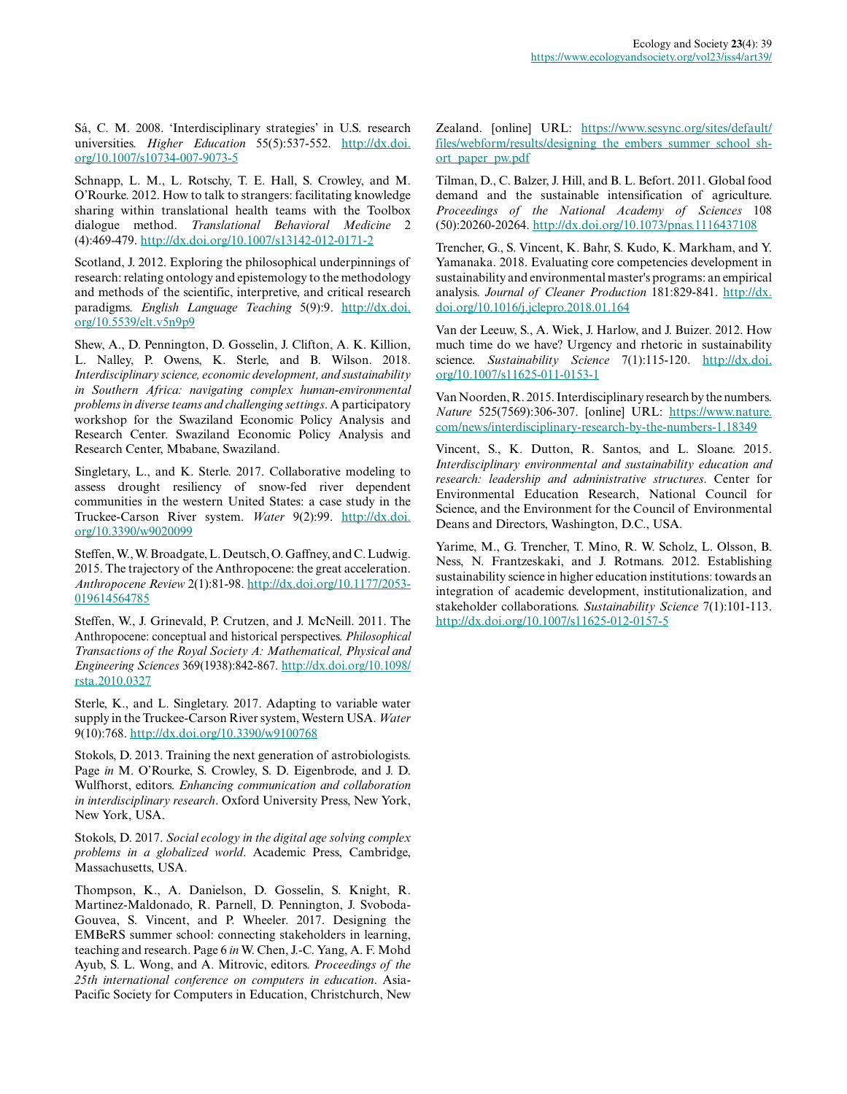Sá, C. M. 2008. 'Interdisciplinary strategies' in U.S. research universities. *Higher Education* 55(5):537-552. [http://dx.doi.](http://dx.doi.org/10.1007%2Fs10734-007-9073-5) [org/10.1007/s10734-007-9073-5](http://dx.doi.org/10.1007%2Fs10734-007-9073-5)

Schnapp, L. M., L. Rotschy, T. E. Hall, S. Crowley, and M. O'Rourke. 2012. How to talk to strangers: facilitating knowledge sharing within translational health teams with the Toolbox dialogue method. *Translational Behavioral Medicine* 2 (4):469-479. [http://dx.doi.org/10.1007/s13142-012-0171-2](http://dx.doi.org/10.1007%2Fs13142-012-0171-2) 

Scotland, J. 2012. Exploring the philosophical underpinnings of research: relating ontology and epistemology to the methodology and methods of the scientific, interpretive, and critical research paradigms. *English Language Teaching* 5(9):9. [http://dx.doi.](http://dx.doi.org/10.5539%2Felt.v5n9p9) [org/10.5539/elt.v5n9p9](http://dx.doi.org/10.5539%2Felt.v5n9p9) 

Shew, A., D. Pennington, D. Gosselin, J. Clifton, A. K. Killion, L. Nalley, P. Owens, K. Sterle, and B. Wilson. 2018. *Interdisciplinary science, economic development, and sustainability in Southern Africa: navigating complex human-environmental problems in diverse teams and challenging settings*. A participatory workshop for the Swaziland Economic Policy Analysis and Research Center. Swaziland Economic Policy Analysis and Research Center, Mbabane, Swaziland.

Singletary, L., and K. Sterle. 2017. Collaborative modeling to assess drought resiliency of snow-fed river dependent communities in the western United States: a case study in the Truckee-Carson River system. *Water* 9(2):99. [http://dx.doi.](http://dx.doi.org/10.3390%2Fw9020099) [org/10.3390/w9020099](http://dx.doi.org/10.3390%2Fw9020099)

Steffen, W., W. Broadgate, L. Deutsch, O. Gaffney, and C. Ludwig. 2015. The trajectory of the Anthropocene: the great acceleration. *Anthropocene Review* 2(1):81-98. [http://dx.doi.org/10.1177/2053](http://dx.doi.org/10.1177%2F2053019614564785) [019614564785](http://dx.doi.org/10.1177%2F2053019614564785)

Steffen, W., J. Grinevald, P. Crutzen, and J. McNeill. 2011. The Anthropocene: conceptual and historical perspectives. *Philosophical Transactions of the Royal Society A: Mathematical, Physical and Engineering Sciences* 369(1938):842-867. [http://dx.doi.org/10.1098/](http://dx.doi.org/10.1098%2Frsta.2010.0327) [rsta.2010.0327](http://dx.doi.org/10.1098%2Frsta.2010.0327)

Sterle, K., and L. Singletary. 2017. Adapting to variable water supply in the Truckee-Carson River system, Western USA. *Water* 9(10):768. [http://dx.doi.org/10.3390/w9100768](http://dx.doi.org/10.3390%2Fw9100768)

Stokols, D. 2013. Training the next generation of astrobiologists. Page *in* M. O'Rourke, S. Crowley, S. D. Eigenbrode, and J. D. Wulfhorst, editors. *Enhancing communication and collaboration in interdisciplinary research*. Oxford University Press, New York, New York, USA.

Stokols, D. 2017. *Social ecology in the digital age solving complex problems in a globalized world*. Academic Press, Cambridge, Massachusetts, USA.

Thompson, K., A. Danielson, D. Gosselin, S. Knight, R. Martinez-Maldonado, R. Parnell, D. Pennington, J. Svoboda-Gouvea, S. Vincent, and P. Wheeler. 2017. Designing the EMBeRS summer school: connecting stakeholders in learning, teaching and research. Page 6 *in* W. Chen, J.-C. Yang, A. F. Mohd Ayub, S. L. Wong, and A. Mitrovic, editors. *Proceedings of the 25th international conference on computers in education*. Asia-Pacific Society for Computers in Education, Christchurch, New Zealand. [online] URL: [https://www.sesync.org/sites/default/](https://www.sesync.org/sites/default/files/webform/results/designing_the_embers_summer_school_short_paper_pw.pdf) [files/webform/results/designing\\_the\\_embers\\_summer\\_school\\_sh](https://www.sesync.org/sites/default/files/webform/results/designing_the_embers_summer_school_short_paper_pw.pdf)[ort\\_paper\\_pw.pdf](https://www.sesync.org/sites/default/files/webform/results/designing_the_embers_summer_school_short_paper_pw.pdf)

Tilman, D., C. Balzer, J. Hill, and B. L. Befort. 2011. Global food demand and the sustainable intensification of agriculture. *Proceedings of the National Academy of Sciences* 108 (50):20260-20264. [http://dx.doi.org/10.1073/pnas.1116437108](http://dx.doi.org/10.1073%2Fpnas.1116437108)

Trencher, G., S. Vincent, K. Bahr, S. Kudo, K. Markham, and Y. Yamanaka. 2018. Evaluating core competencies development in sustainability and environmental master's programs: an empirical analysis. *Journal of Cleaner Production* 181:829-841. [http://dx.](http://dx.doi.org/10.1016%2Fj.jclepro.2018.01.164) [doi.org/10.1016/j.jclepro.2018.01.164](http://dx.doi.org/10.1016%2Fj.jclepro.2018.01.164)

Van der Leeuw, S., A. Wiek, J. Harlow, and J. Buizer. 2012. How much time do we have? Urgency and rhetoric in sustainability science. *Sustainability Science* 7(1):115-120. [http://dx.doi.](http://dx.doi.org/10.1007%2Fs11625-011-0153-1) [org/10.1007/s11625-011-0153-1](http://dx.doi.org/10.1007%2Fs11625-011-0153-1)

Van Noorden, R. 2015. Interdisciplinary research by the numbers. *Nature* 525(7569):306-307. [online] URL: [https://www.nature.](https://www.nature.com/news/interdisciplinary-research-by-the-numbers-1.18349) [com/news/interdisciplinary-research-by-the-numbers-1.18349](https://www.nature.com/news/interdisciplinary-research-by-the-numbers-1.18349)

Vincent, S., K. Dutton, R. Santos, and L. Sloane. 2015. *Interdisciplinary environmental and sustainability education and research: leadership and administrative structures*. Center for Environmental Education Research, National Council for Science, and the Environment for the Council of Environmental Deans and Directors, Washington, D.C., USA.

Yarime, M., G. Trencher, T. Mino, R. W. Scholz, L. Olsson, B. Ness, N. Frantzeskaki, and J. Rotmans. 2012. Establishing sustainability science in higher education institutions: towards an integration of academic development, institutionalization, and stakeholder collaborations. *Sustainability Science* 7(1):101-113. [http://dx.doi.org/10.1007/s11625-012-0157-5](http://dx.doi.org/10.1007%2Fs11625-012-0157-5)